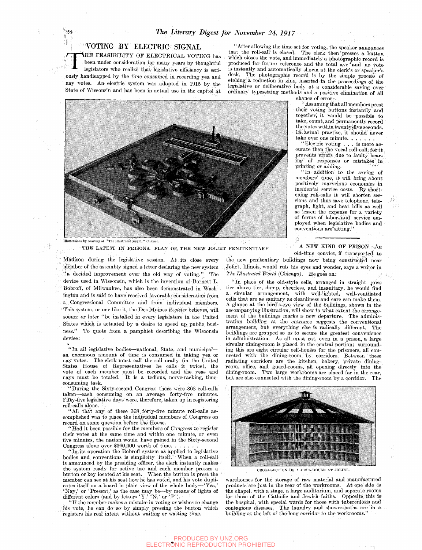## VOTING BY ELECTRIC SIGNAL

**VHE** FEASIBILITY OF ELECTRICAL VOTING has been under consideration for many years by thoughtful legislators who realize that legislative efifieieney is seriously handicapped by the time consumed in recording yea and nay votes. An electric system was adopted in 1915 by the State of Wisconsin and has been in actual use in the capitol at

"After allowing the time set for voting, the speaker announces that the roll-call is closed. The clerk then presses a button which closes the vote, and immediately a photographic record is produced for future reference and the total aye 'and no vote is instantly and automatically shown at the clerk's or speaker's desk. The photographic record is by the simple process of etching a reduction in zinc, inserted in the proceedings of the legislative or deliberative body at a considerable saving over ordinary typesetting methods and a positive elimination of all



THE LATEST IN PRISONS. PLAN OF THE NEW JOLIET PENITENTIARY

Madison during the legislative session. At its close every .member of the assembly signed a letter declaring the new system " a decided improvement over the old way of voting." The device used in Wisconsin, which is the invention of Bornett L. Bobroff, of Milwaukee, has also been demonstrated in Washington and is said to have received favorable consideration from a. Congressional Committee and from individual members. This system, or one like it, the Des Moines *Register* believes, wiU sooner or later "be installed in every legislature in the United States which is actuated by a desire to speed up public business." To quote from a pamphlet describing the Wisconsin device:

"In all legislative bodies—national, State, and municipal an enormous amount of time is consumed in taking yea or nay votes.. The clerk must call the roll orally (in the United States House of Representatives he calls it twice), the vote of each member must be recorded and the yeas and nays must be totaled. It is a tedious, nerve-racking, timeconsuming task.

' "During the Sixty-second Congress there were 368 roll-calls taken—each consuming on an average forty-five minutes. Pifty-flve legislative days were, therefore, taken up in registering roll-calls alone. '

All that any of these 368 forty-five minute roll-calls accomplished was to place the individual members of Congress on record on some question before the House.

Had it been possible for the members of Congress to register their votes at the same time and within one minute, or even five minutes, the nation would have gained in the Sixty-second Congress alone over \$360,000 worth of time

In its operation the Bobroff system as applied to legislative bodies and conventions is simplicity itself. When a roll-call is announced by the presiding officer, the clerk instantly makes the system ready for active use and each member presses a button or key located at his seat. When the button is prest the member can see at his seat how he has voted, and his vote duplicates itself on a board in plain view of the whole body-'Nay,' or 'Present,' as the case imay be—by means of lights of different colors (and by letters  $'Y'$ ,  $'W'$ , or  $'P'$ ).

"If the member makes a mistake in voting or wishes to change his vote, he can do so: by simply pressing the button which registers his real intent without waiting or wasting time.

chance of error;

'' Assuming that all members prest their voting buttons instantly and together, it would be possible to lake, count, and permanently record the votes within twenty-five seconds. In actual practise, it should never take over one minute. . . .

"Electric voting .. . is more accurate than the vocal roll-call, for it prevents errors due to faulty hearing of responses or mistakes in printing or adding.

"In addition to the saving of members' time, it will bring about positively inarvelous economies in incidental service costs. By shortening roll-calls it will shorten sessions and thus save telephone, telegraph, light, and heat bills as well as lessen the expense for a variety of forms of labor, and service employed when legislative bodies and conventions are\*sitting."

A NEW KIND OF PRISON—An

old-time convict, if transported to

the new penitentiary buildings now being constructed near Joliet, Illinois, would rub his eyes and wonder, says a writer in The Illustrated World (Chicago). He goes on:

"In place of the old-style cells, arranged in straight rows tier above tier, damp, cheerless, and insanitary, he would find a circular arrangement, with well-lighted, well-ventilated cells that are as sanitary as cleanliness and care can make them. A glance at the bird's-eye view of the buildings, shown in the accompanying illustration, will show to what extent the arrangement of the buildings marks a new departure. The administration building at the entrance suggests the conventional arrangement, but everything else is radically different. The buildings are grouped so as to secure the greatest convenience in administration. As aU must eat, even in a prison, a large circular dining-room is placed in the central portion; surrounding this are eight circular cell-houses for the prisoners, all connected With the dining-room by corridors. Between these radiating corridors are the kitchen, bakery, private diningroom, oiflce, and guard-rooms, all opening directly into the dining-room. Two large workrooms are placed far in the rear, but are also connected with the dining-room by a corridor. The



CROSS-SECTION OF A CELL-HOUSE AT JOLIET

warehouses for the storage of raw material and manufactured products are just in the rear of the workrooms. At one side is the chapel, with a stage, a large auditorium, and separate rooms for those of the Catholic and Jewish faiths. Opposite this is the hospital, with special wards for those with tuberculosis and contagious diseases. The laundry and shower-baths are in a building at the left of the long corridor to the workrooms.